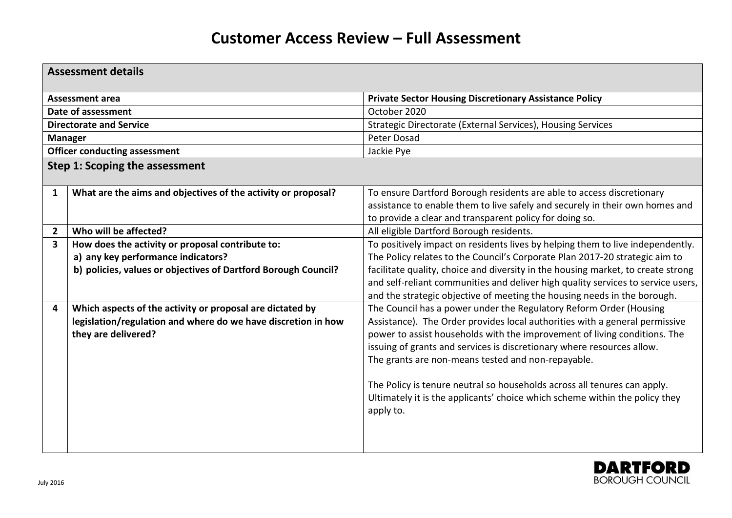| <b>Assessment details</b>      |                                                                                                                                                          |                                                                                                                                                                                                                                                                                                                                                                                                                                                                                                                                        |  |  |
|--------------------------------|----------------------------------------------------------------------------------------------------------------------------------------------------------|----------------------------------------------------------------------------------------------------------------------------------------------------------------------------------------------------------------------------------------------------------------------------------------------------------------------------------------------------------------------------------------------------------------------------------------------------------------------------------------------------------------------------------------|--|--|
| <b>Assessment area</b>         |                                                                                                                                                          | <b>Private Sector Housing Discretionary Assistance Policy</b>                                                                                                                                                                                                                                                                                                                                                                                                                                                                          |  |  |
| Date of assessment             |                                                                                                                                                          | October 2020                                                                                                                                                                                                                                                                                                                                                                                                                                                                                                                           |  |  |
| <b>Directorate and Service</b> |                                                                                                                                                          | Strategic Directorate (External Services), Housing Services                                                                                                                                                                                                                                                                                                                                                                                                                                                                            |  |  |
| <b>Manager</b>                 |                                                                                                                                                          | Peter Dosad                                                                                                                                                                                                                                                                                                                                                                                                                                                                                                                            |  |  |
|                                | <b>Officer conducting assessment</b>                                                                                                                     | Jackie Pye                                                                                                                                                                                                                                                                                                                                                                                                                                                                                                                             |  |  |
| Step 1: Scoping the assessment |                                                                                                                                                          |                                                                                                                                                                                                                                                                                                                                                                                                                                                                                                                                        |  |  |
| $\mathbf{1}$                   | What are the aims and objectives of the activity or proposal?                                                                                            | To ensure Dartford Borough residents are able to access discretionary<br>assistance to enable them to live safely and securely in their own homes and<br>to provide a clear and transparent policy for doing so.                                                                                                                                                                                                                                                                                                                       |  |  |
| $\overline{2}$                 | Who will be affected?                                                                                                                                    | All eligible Dartford Borough residents.                                                                                                                                                                                                                                                                                                                                                                                                                                                                                               |  |  |
| 3                              | How does the activity or proposal contribute to:<br>a) any key performance indicators?<br>b) policies, values or objectives of Dartford Borough Council? | To positively impact on residents lives by helping them to live independently.<br>The Policy relates to the Council's Corporate Plan 2017-20 strategic aim to<br>facilitate quality, choice and diversity in the housing market, to create strong<br>and self-reliant communities and deliver high quality services to service users,<br>and the strategic objective of meeting the housing needs in the borough.                                                                                                                      |  |  |
| 4                              | Which aspects of the activity or proposal are dictated by<br>legislation/regulation and where do we have discretion in how<br>they are delivered?        | The Council has a power under the Regulatory Reform Order (Housing<br>Assistance). The Order provides local authorities with a general permissive<br>power to assist households with the improvement of living conditions. The<br>issuing of grants and services is discretionary where resources allow.<br>The grants are non-means tested and non-repayable.<br>The Policy is tenure neutral so households across all tenures can apply.<br>Ultimately it is the applicants' choice which scheme within the policy they<br>apply to. |  |  |

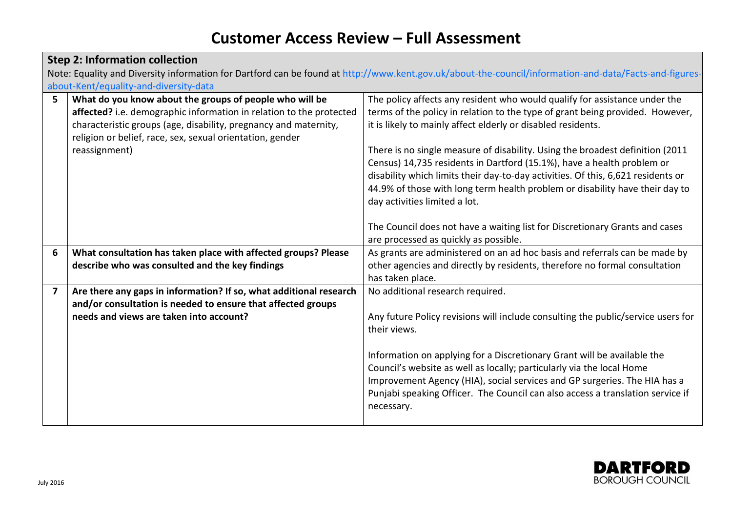| <b>Step 2: Information collection</b> |                                                                                                                                                        |                                                                                  |  |  |  |
|---------------------------------------|--------------------------------------------------------------------------------------------------------------------------------------------------------|----------------------------------------------------------------------------------|--|--|--|
|                                       | Note: Equality and Diversity information for Dartford can be found at http://www.kent.gov.uk/about-the-council/information-and-data/Facts-and-figures- |                                                                                  |  |  |  |
|                                       | about-Kent/equality-and-diversity-data                                                                                                                 |                                                                                  |  |  |  |
| 5                                     | What do you know about the groups of people who will be                                                                                                | The policy affects any resident who would qualify for assistance under the       |  |  |  |
|                                       | affected? i.e. demographic information in relation to the protected                                                                                    | terms of the policy in relation to the type of grant being provided. However,    |  |  |  |
|                                       | characteristic groups (age, disability, pregnancy and maternity,                                                                                       | it is likely to mainly affect elderly or disabled residents.                     |  |  |  |
|                                       | religion or belief, race, sex, sexual orientation, gender                                                                                              |                                                                                  |  |  |  |
|                                       | reassignment)                                                                                                                                          | There is no single measure of disability. Using the broadest definition (2011)   |  |  |  |
|                                       |                                                                                                                                                        | Census) 14,735 residents in Dartford (15.1%), have a health problem or           |  |  |  |
|                                       |                                                                                                                                                        | disability which limits their day-to-day activities. Of this, 6,621 residents or |  |  |  |
|                                       |                                                                                                                                                        | 44.9% of those with long term health problem or disability have their day to     |  |  |  |
|                                       |                                                                                                                                                        | day activities limited a lot.                                                    |  |  |  |
|                                       |                                                                                                                                                        |                                                                                  |  |  |  |
|                                       |                                                                                                                                                        | The Council does not have a waiting list for Discretionary Grants and cases      |  |  |  |
|                                       |                                                                                                                                                        | are processed as quickly as possible.                                            |  |  |  |
| 6                                     | What consultation has taken place with affected groups? Please                                                                                         | As grants are administered on an ad hoc basis and referrals can be made by       |  |  |  |
|                                       | describe who was consulted and the key findings                                                                                                        | other agencies and directly by residents, therefore no formal consultation       |  |  |  |
|                                       |                                                                                                                                                        | has taken place.                                                                 |  |  |  |
| $\overline{\mathbf{z}}$               | Are there any gaps in information? If so, what additional research                                                                                     | No additional research required.                                                 |  |  |  |
|                                       | and/or consultation is needed to ensure that affected groups                                                                                           |                                                                                  |  |  |  |
|                                       | needs and views are taken into account?                                                                                                                | Any future Policy revisions will include consulting the public/service users for |  |  |  |
|                                       |                                                                                                                                                        | their views.                                                                     |  |  |  |
|                                       |                                                                                                                                                        | Information on applying for a Discretionary Grant will be available the          |  |  |  |
|                                       |                                                                                                                                                        | Council's website as well as locally; particularly via the local Home            |  |  |  |
|                                       |                                                                                                                                                        | Improvement Agency (HIA), social services and GP surgeries. The HIA has a        |  |  |  |
|                                       |                                                                                                                                                        | Punjabi speaking Officer. The Council can also access a translation service if   |  |  |  |
|                                       |                                                                                                                                                        | necessary.                                                                       |  |  |  |
|                                       |                                                                                                                                                        |                                                                                  |  |  |  |
|                                       |                                                                                                                                                        |                                                                                  |  |  |  |

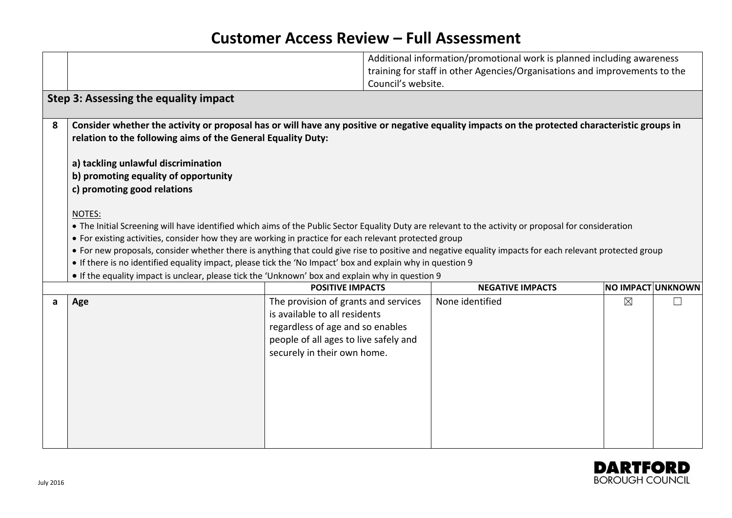|   |                                                                                                                                                                                                                                                                                                                                                                                                                                                                                                                                                                                                                                                         | Council's website.                                                                                                                                                                | Additional information/promotional work is planned including awareness<br>training for staff in other Agencies/Organisations and improvements to the |             |                   |
|---|---------------------------------------------------------------------------------------------------------------------------------------------------------------------------------------------------------------------------------------------------------------------------------------------------------------------------------------------------------------------------------------------------------------------------------------------------------------------------------------------------------------------------------------------------------------------------------------------------------------------------------------------------------|-----------------------------------------------------------------------------------------------------------------------------------------------------------------------------------|------------------------------------------------------------------------------------------------------------------------------------------------------|-------------|-------------------|
|   | Step 3: Assessing the equality impact                                                                                                                                                                                                                                                                                                                                                                                                                                                                                                                                                                                                                   |                                                                                                                                                                                   |                                                                                                                                                      |             |                   |
| 8 | Consider whether the activity or proposal has or will have any positive or negative equality impacts on the protected characteristic groups in<br>relation to the following aims of the General Equality Duty:                                                                                                                                                                                                                                                                                                                                                                                                                                          |                                                                                                                                                                                   |                                                                                                                                                      |             |                   |
|   | a) tackling unlawful discrimination<br>b) promoting equality of opportunity<br>c) promoting good relations                                                                                                                                                                                                                                                                                                                                                                                                                                                                                                                                              |                                                                                                                                                                                   |                                                                                                                                                      |             |                   |
|   | NOTES:<br>• The Initial Screening will have identified which aims of the Public Sector Equality Duty are relevant to the activity or proposal for consideration<br>• For existing activities, consider how they are working in practice for each relevant protected group<br>• For new proposals, consider whether there is anything that could give rise to positive and negative equality impacts for each relevant protected group<br>• If there is no identified equality impact, please tick the 'No Impact' box and explain why in question 9<br>• If the equality impact is unclear, please tick the 'Unknown' box and explain why in question 9 |                                                                                                                                                                                   |                                                                                                                                                      |             |                   |
|   |                                                                                                                                                                                                                                                                                                                                                                                                                                                                                                                                                                                                                                                         | <b>POSITIVE IMPACTS</b>                                                                                                                                                           | <b>NEGATIVE IMPACTS</b>                                                                                                                              |             | NO IMPACT UNKNOWN |
| a | Age                                                                                                                                                                                                                                                                                                                                                                                                                                                                                                                                                                                                                                                     | The provision of grants and services<br>is available to all residents<br>regardless of age and so enables<br>people of all ages to live safely and<br>securely in their own home. | None identified                                                                                                                                      | $\boxtimes$ |                   |

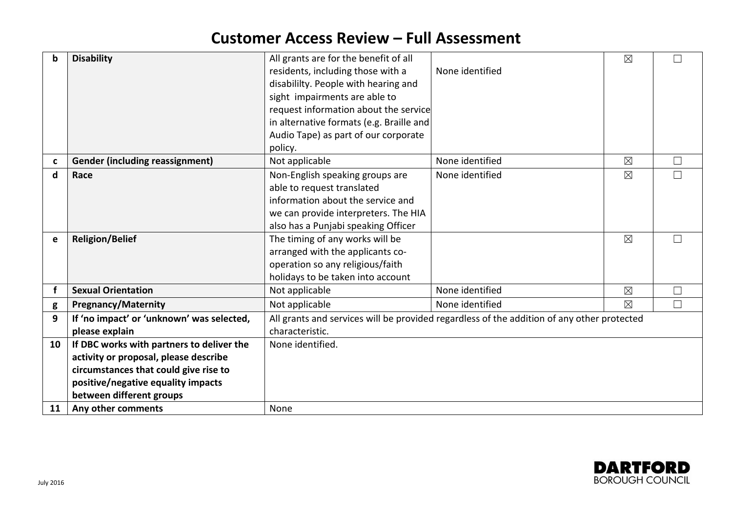| b  | <b>Disability</b>                         | All grants are for the benefit of all                                                      |                 | $\boxtimes$ | П      |
|----|-------------------------------------------|--------------------------------------------------------------------------------------------|-----------------|-------------|--------|
|    |                                           | residents, including those with a                                                          | None identified |             |        |
|    |                                           | disabililty. People with hearing and                                                       |                 |             |        |
|    |                                           | sight impairments are able to                                                              |                 |             |        |
|    |                                           | request information about the service                                                      |                 |             |        |
|    |                                           | in alternative formats (e.g. Braille and                                                   |                 |             |        |
|    |                                           | Audio Tape) as part of our corporate                                                       |                 |             |        |
|    |                                           | policy.                                                                                    |                 |             |        |
| C  | <b>Gender (including reassignment)</b>    | Not applicable                                                                             | None identified | $\boxtimes$ | $\Box$ |
| d  | Race                                      | Non-English speaking groups are<br>None identified                                         |                 | $\times$    | $\Box$ |
|    |                                           | able to request translated                                                                 |                 |             |        |
|    |                                           | information about the service and                                                          |                 |             |        |
|    |                                           | we can provide interpreters. The HIA                                                       |                 |             |        |
|    |                                           | also has a Punjabi speaking Officer                                                        |                 |             |        |
| e  | <b>Religion/Belief</b>                    | The timing of any works will be                                                            |                 | $\boxtimes$ | $\Box$ |
|    |                                           | arranged with the applicants co-                                                           |                 |             |        |
|    |                                           | operation so any religious/faith                                                           |                 |             |        |
|    |                                           | holidays to be taken into account                                                          |                 |             |        |
|    | <b>Sexual Orientation</b>                 | Not applicable                                                                             | None identified | $\boxtimes$ | $\Box$ |
| g  | <b>Pregnancy/Maternity</b>                | Not applicable                                                                             | None identified | $\times$    | $\Box$ |
| 9  | If 'no impact' or 'unknown' was selected, | All grants and services will be provided regardless of the addition of any other protected |                 |             |        |
|    | please explain                            | characteristic.                                                                            |                 |             |        |
| 10 | If DBC works with partners to deliver the | None identified.                                                                           |                 |             |        |
|    | activity or proposal, please describe     |                                                                                            |                 |             |        |
|    | circumstances that could give rise to     |                                                                                            |                 |             |        |
|    | positive/negative equality impacts        |                                                                                            |                 |             |        |
|    | between different groups                  |                                                                                            |                 |             |        |
| 11 | Any other comments                        | None                                                                                       |                 |             |        |

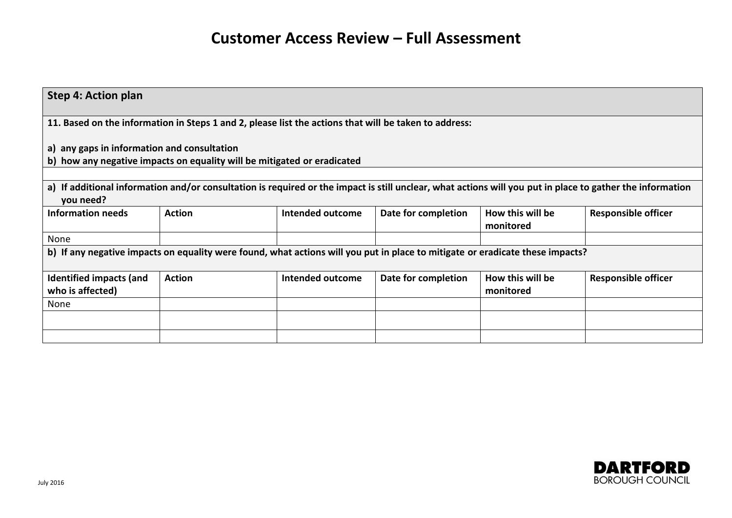| <b>Step 4: Action plan</b>                  |               |                                                                                                                                                           |                     |                  |                            |
|---------------------------------------------|---------------|-----------------------------------------------------------------------------------------------------------------------------------------------------------|---------------------|------------------|----------------------------|
|                                             |               |                                                                                                                                                           |                     |                  |                            |
|                                             |               | 11. Based on the information in Steps 1 and 2, please list the actions that will be taken to address:                                                     |                     |                  |                            |
|                                             |               |                                                                                                                                                           |                     |                  |                            |
| a) any gaps in information and consultation |               |                                                                                                                                                           |                     |                  |                            |
|                                             |               | b) how any negative impacts on equality will be mitigated or eradicated                                                                                   |                     |                  |                            |
|                                             |               |                                                                                                                                                           |                     |                  |                            |
|                                             |               | a) If additional information and/or consultation is required or the impact is still unclear, what actions will you put in place to gather the information |                     |                  |                            |
| you need?                                   |               |                                                                                                                                                           |                     |                  |                            |
| Information needs                           | <b>Action</b> | Intended outcome                                                                                                                                          | Date for completion | How this will be | <b>Responsible officer</b> |
|                                             |               |                                                                                                                                                           |                     | monitored        |                            |
| None                                        |               |                                                                                                                                                           |                     |                  |                            |
|                                             |               | b) If any negative impacts on equality were found, what actions will you put in place to mitigate or eradicate these impacts?                             |                     |                  |                            |
|                                             |               |                                                                                                                                                           |                     |                  |                            |
| Identified impacts (and                     | <b>Action</b> | Intended outcome                                                                                                                                          | Date for completion | How this will be | <b>Responsible officer</b> |
| who is affected)                            |               |                                                                                                                                                           |                     | monitored        |                            |
| None                                        |               |                                                                                                                                                           |                     |                  |                            |
|                                             |               |                                                                                                                                                           |                     |                  |                            |
|                                             |               |                                                                                                                                                           |                     |                  |                            |
|                                             |               |                                                                                                                                                           |                     |                  |                            |